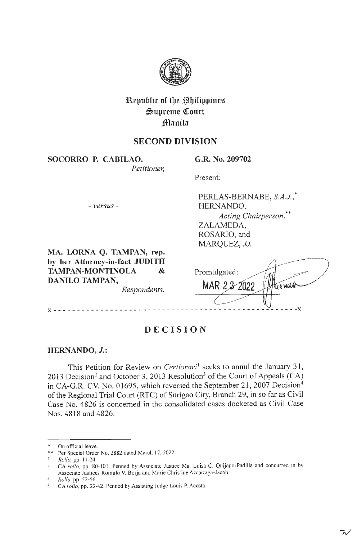

# **l\epublic of tbe ~bilippines**   $\mathfrak{S}$ upreme Court **fflanila**

## **SECOND DIVISION**

**SOCORRO P. CABILAO,**  *Petitioner,*  **G.R. No. 209702** 

Present:

Promulgated:

MAR 2 3 2022

- *versus* -

PERLAS-BERNABE, *S.A.J,\**  HERNANDO, *Acting Chairperson,\*\**  ZALAMEDA, ROSARIO, and *MARQUEZ, JJ.* 

**MA. LORNA Q. TAMPAN, rep. by her Attorney-in-fact JUDITH TAMPAN-MONTINOLA** & **DANILO TAMPAN,** 

*Respondents.* 

**X** - - - - - - - - - - - - - - - - - - - - - - - - - - - - - - - - - - - - - - - - - - - - - - - - - - - **- X** 

## **DECISION**

## **HERNANDO,** *J.:*

This Petition for Review on *Certiorari*<sup>1</sup> seeks to annul the January 31, 2013 Decision<sup>2</sup> and October 3, 2013 Resolution<sup>3</sup> of the Court of Appeals (CA) in CA-G.R. CV. No. 01695, which reversed the September 21, 2007 Decision<sup>4</sup> of the Regional Trial Court (RTC) of Surigao City, Branch 29, in so far as Civil Case No. 4826 is concerned in the consolidated cases docketed as Civil Case Nos. 4818 and 4826.

On official leave.

Per Special Order No. 2882 dated March 17, 2022.

<sup>1</sup>*Rollo,* pp. 11-24.

CA rollo, pp. 80-101. Penned by Associate Justice Ma. Luisa C. Quijano-Padilla and concurred in by Associate Justices Romulo V. Borja and Marie Christine Azcarraga-Jacob.

<sup>3</sup>*Rollo,* pp. 52-56. 4 CA *rol/o,* pp. 33-42. Penned by Assisting Judge Louis P. Acosta.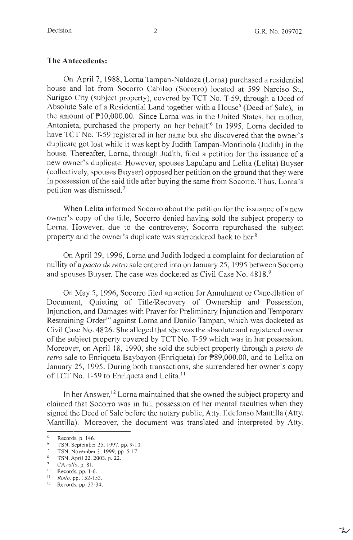### **The Antecedents:**

On April 7, 1988, Lorna Tampan-Naldoza (Lorna) purchased a residential house and lot from Socorro Cabilao (Socorro) located at 599 Narciso St., Surigao City (subject property), covered by TCT No. T-59, through a Deed of Absolute Sale of a Residential Land together with a House<sup>5</sup> (Deed of Sale), in the amount of Pl0,000.00. Since Lorna was in the United States, her mother, Antonieta, purchased the property on her behalf.<sup>6</sup> In 1995, Lorna decided to have TCT No. T-59 registered in her name but she discovered that the owner's duplicate got lost while it was kept by Judith Tampan-Montinola (Judith) in the house. Thereafter, Lorna, through Judith, filed a petition for the issuance of a new owner's duplicate. However, spouses Lapulapu and Lelita (Lelita) Buyser ( collectively, spouses Buyser) opposed her petition on the ground that they were in possession of the said title after buying the same from Socorro. Thus, Lorna's petition was dismissed. 7

When Lelita informed Socorro about the petition for the issuance of a new owner's copy of the title, Socorro denied having sold the subject property to Lorna. However, due to the controversy, Socorro repurchased the subject property and the owner's duplicate was surrendered back to her.<sup>8</sup>

On April 29, 1996, Lorna and Judith lodged a complaint for declaration of nullity of *apacto de retro* sale entered into on January 25, 1995 between Socorro and spouses Buyser. The case was docketed as Civil Case No. 4818.<sup>9</sup>

On May 5, 1996, Socorro filed an action for Annulment or Cancellation of Document, Quieting of Title/Recovery of Ownership and Possession, Injunction, and Damages with Prayer for Preliminary Injunction and Temporary Restraining Order<sup>10</sup> against Lorna and Danilo Tampan, which was docketed as Civil Case No. 4826. She alleged that she was the absolute and registered owner of the subject property covered by TCT No. T-59 which was in her possession. Moreover, on April 18, 1990, she sold the subject property through a *pacto de retro* sale to Enriqueta Baybayon (Enriqueta) for P89,000.00, and to Lelita on January 25, 1995. During both transactions, she surrendered her owner's copy of TCT No. T-59 to Enriqueta and Lelita.<sup>11</sup>

In her Answer,  $12$  Lorna maintained that she owned the subject property and claimed that Socorro was in full possession of her mental faculties when they signed the Deed of Sale before the notary public, Atty. Ildefonso Mantilla (Atty. Mantilla). Moreover, the document was translated and interpreted by Atty.

<sup>&</sup>lt;sup>5</sup><br>Records, p. 146.<br>**6 TSN, September 25, 1997, pp. 9-10.**<br>**7 TSN, November 3, 1999, pp. 5-17.**<br>**8 TSN, April 22, 2003, p. 22.** 

<sup>&</sup>lt;sup>9</sup> CA *rollo*, p. 81.<br><sup>10</sup> Records, pp. 1-6.

<sup>11</sup>*Rollo,* pp. 152- 153.

<sup>12</sup> Records, pp. 32-34.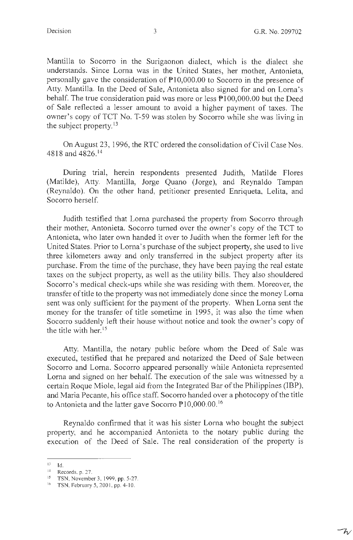$-\mathcal{V}$ 

Mantilla to Socorro in the Surigaonon dialect, which is the dialect she understands. Since Lorna was in the United States, her mother, Antonieta, personally gave the consideration of Pl 0,000.00 to Socorro in the presence of Atty. Mantilla. In the Deed of Sale, Antonieta also signed for and on Lorna's behalf. The true consideration paid was more or less  $P100,000.00$  but the Deed of Sale reflected a lesser amount to avoid a higher payment of taxes. The owner's copy of TCT No. T-59 was stolen by Socorro while she was living in the subject property. $13$ 

On August 23, 1996, the RTC ordered the consolidation of Civil Case Nos. 4818 and 4826. <sup>14</sup>

During trial, herein respondents presented Judith, Matilde Flores (Matilde), Atty. Mantilla, Jorge Quano (Jorge), and Reynaldo Tampan (Reynaldo). On the other hand, petitioner presented Enriqueta, Lelita, and Socorro herself.

Judith testified that Lorna purchased the property from Socorro through their mother, Antonieta. Socorro turned over the owner's copy of the TCT to Antonieta, who later own handed it over to Judith when the former left for the United States. Prior to Lorna's purchase of the subject property, she used to live three kilometers away and only transferred in the subject property after its purchase. From the time of the purchase, they have been paying the real estate taxes on the subject property, as well as the utility bills. They also shouldered Socorro's medical check-ups while she was residing with them. Moreover, the transfer of title to the property was not immediately done since the money Lorna sent was only sufficient for the payment of the property. When Lorna sent the money for the transfer of title sometime in 1995, it was also the time when Socorro suddenly left their house without notice and took the owner's copy of the title with her.<sup>15</sup>

Atty. Mantilla, the notary public before whom the Deed of Sale was executed, testified that he prepared and notarized the Deed of Sale between Socorro and Lorna. Socorro appeared personally while Antonieta represented Lorna and signed on her behalf. The execution of the sale was witnessed by a certain Roque Miole, legal aid from the Integrated Bar of the Philippines (IBP), and Maria Pecante, his office staff. Socorro handed over a photocopy of the title to Antonieta and the latter gave Socorro  $P10,000.00$ .<sup>16</sup>

Reynaldo confirmed that it was his sister Lorna who bought the subject property, and he accompanied Antonieta to the notary public during the execution of the Deed of Sale. The real consideration of the property is

 $E = H$ 

 $14$  Records, p. 27.

 $15$  TSN, November 3, 1999, pp. 5-27.

<sup>&</sup>lt;sup>16</sup> TSN, February 5, 2001, pp. 4-10.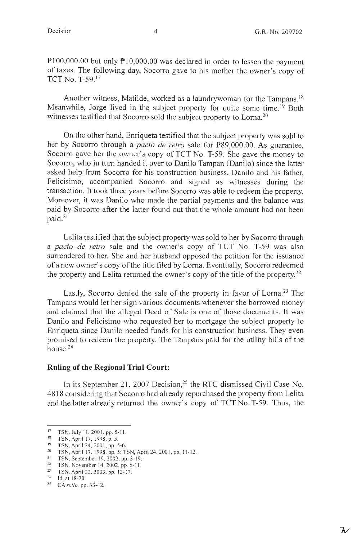P100,000.00 but only P10,000.00 was declared in order to lessen the payment of taxes. The following day, Socorro gave to his mother the owner's copy of TCT No. T-59. <sup>17</sup>

Another witness, Matilde, worked as a laundrywoman for the Tampans.<sup>18</sup> Meanwhile, Jorge lived in the subject property for quite some time.<sup>19</sup> Both witnesses testified that Socorro sold the subject property to Lorna.<sup>20</sup>

On the other hand, Enriqueta testified that the subject property was sold to her by Socorro through a *pacto de retro* sale for P89,000.00. As guarantee, Socorro gave her the owner's copy of TCT No. T-59. She gave the money to Socorro, who in turn handed it over to Danilo Tampan (Danilo) since the latter asked help from Socorro for his construction business. Danilo and his father, Felicisimo, accompanied Socorro and signed as witnesses during the transaction. It took three years before Socorro was able to redeem the property. Moreover, it was Danilo who made the partial payments and the balance was paid by Socorro after the latter found out that the whole amount had not been paid. <sup>21</sup>

Lelita testified that the subject property was sold to her by Socorro through a *pacto de retro* sale and the owner's copy of TCT No. T-59 was also surrendered to her. She and her husband opposed the petition for the issuance of a new owner's copy of the title filed by Lorna. Eventually, Socorro redeemed the property and Lelita returned the owner's copy of the title of the property.<sup>22</sup>

Lastly, Socorro denied the sale of the property in favor of Lorna.<sup>23</sup> The Tampans would let her sign various documents whenever she borrowed money and claimed that the alleged Deed of Sale is one of those documents. It was Danilo and Felicisimo who requested her to mortgage the subject property to Enriqueta since Danilo needed funds for his construction business. They even promised to redeem the property. The Tampans paid for the utility bills of the house.<sup>24</sup>

#### **Ruling of the Regional Trial Court:**

In its September 21, 2007 Decision,<sup>25</sup> the RTC dismissed Civil Case No. 4818 considering that Socorro had already repurchased the property from Lelita and the latter already returned the owner's copy of TCT No. T-59. Thus, the

<sup>&</sup>lt;sup>17</sup> TSN, July 11, 2001, pp. 5-11.

<sup>&</sup>lt;sup>18</sup> TSN, April 17, 1998, p. 5.

<sup>19</sup> TSN, April 24, 200 I, pp. 5-6. 20 TSN, April 17, 1998, pp. 5; TSN, April 24, 200 I, pp. 11-12.

<sup>21</sup> TSN, September 19, 2002, pp. 3-19.<br>
<sup>22</sup> TSN, November 14, 2002, pp. 6-11.<br>
<sup>23</sup> TSN, April 22, 2003, pp. 13-17.<br>
<sup>24</sup> Id. at 18-20.

<sup>&</sup>lt;sup>25</sup> CA *rollo*, pp. 33-42.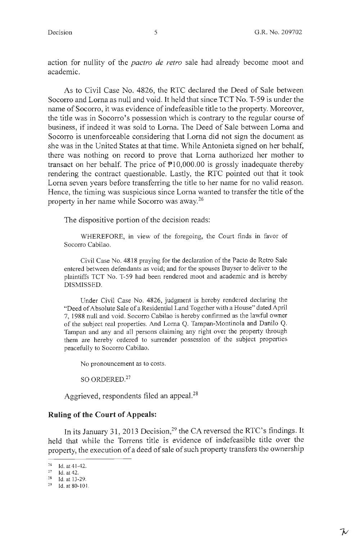action for nullity of the *pactro de retro* sale had already become moot and academic.

As to Civil Case No. 4826, the RTC declared the Deed of Sale between Socorro and Loma as null and void. It held that since TCT No. T-59 is under the name of Socorro, it was evidence of indefeasible title to the property. Moreover, the title was in Socorro's possession which is contrary to the regular course of business, if indeed it was sold to Loma. The Deed of Sale between Loma and Socorro is unenforceable considering that Lorna did not sign the document as she was in the United States at that time. While Antonieta signed on her behalf, there was nothing on record to prove that Loma authorized her mother to transact on her behalf. The price of  $P10,000.00$  is grossly inadequate thereby rendering the contract questionable. Lastly, the RTC pointed out that it took Loma seven years before transferring the title to her name for no valid reason. Hence, the timing was suspicious since Lorna wanted to transfer the title of the property in her name while Socorro was away. 26

The dispositive portion of the decision reads:

WHEREFORE, in view of the foregoing, the Court finds **in** favor of Socorro Cabilao.

Civil Case No. 4818 praying for the declaration of the Pacto de Retro Sale entered between defendants as void; and for the spouses Buyser to deliver to the plaintiffs TCT No. T-59 had been rendered moot and academic and is hereby DISMISSED.

Under Civil Case No. 4826, judgment is hereby rendered declaring the "Deed of Absolute Sale of a Residential Land Together with a House" dated April 7, 1988 null and void. Socorro Cabilao is hereby confirmed as the lawful owner of the subject real properties. And Lorna Q. Tampan-Montinola and Danilo Q. Tampan and any and all persons claiming any right over the property through them are hereby ordered to surrender possession of the subject properties peacefully to Socorro Cabilao.

No pronouncement as to costs.

SO ORDERED.<sup>27</sup>

Aggrieved, respondents filed an appeal.<sup>28</sup>

## **Ruling of the Court of Appeals:**

In its January 31, 2013 Decision,<sup>29</sup> the CA reversed the RTC's findings. It held that while the Torrens title is evidence of indefeasible title over the property, the execution of a deed of sale of such property transfers the ownership

 $^{26}$  Id. at 41-42.<br>
<sup>27</sup> Id. at 42.<br>
<sup>28</sup> Id. at 13-29.<br>
<sup>29</sup> Id. at 80-101.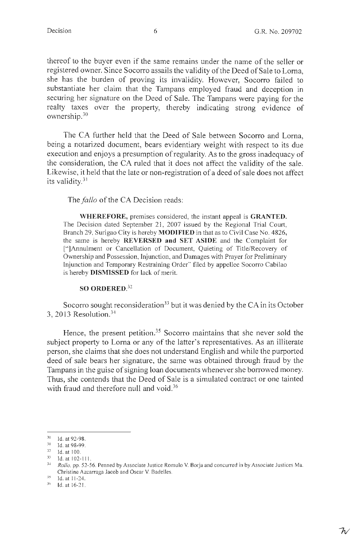thereof to the buyer even if the same remains under the name of the seller or registered owner. Since Socorro assails the validity of the Deed of Sale to Lorna, she has the burden of proving its invalidity. However, Socorro failed to substantiate her claim that the Tampans employed fraud and deception in securing her signature on the Deed of Sale. The Tampans were paying for the realty taxes over the property, thereby indicating strong evidence of ownership.30

The CA further held that the Deed of Sale between Socorro and Lorna, being a notarized document, bears evidentiary weight with respect to its due execution and enjoys a presumption of regularity. As to the gross inadequacy of the consideration, the CA ruled that it does not affect the validity of the sale. Likewise, it held that the late or non-registration of a deed of sale does not affect its validity. $31$ 

The *fallo* of the CA Decision reads:

**WHEREFORE,** premises considered, the instant appeal is **GRANTED.**  The Decision dated September 21, 2007 issued by the Regional Trial Court, Branch 29, Surigao City is hereby **MODIFIED** in that as to Civil Case No. 4826, the same is hereby **REVERSED and SET ASIDE** and the Complaint for [" ]Annulment or Cancellation of Document, Quieting of Title/Recovery of Ownership and Possession, Injunction, and Damages with Prayer for Preliminary Injunction and Temporary Restraining Order" filed by appellee Socorro Cabilao is hereby **DISMISSED** for lack of merit.

#### **SO ORDERED.<sup>32</sup>**

Socorro sought reconsideration<sup>33</sup> but it was denied by the CA in its October 3, 2013 Resolution. <sup>34</sup>

Hence, the present petition.<sup>35</sup> Socorro maintains that she never sold the subject property to Lorna or any of the latter's representatives. As an illiterate person, she claims that she does not understand English and while the purported deed of sale bears her signature, the same was obtained through fraud by the Tampans in the guise of signing loan documents whenever she borrowed money. Thus, she contends that the Deed of Sale is a simulated contract or one tainted with fraud and therefore null and void.<sup>36</sup>

 $30$  Id. at 92-98.<br> $31$  Id. at 98-99.

 $\frac{32}{33}$  Id. at 100.

**J> Id. at 102-111.** 

<sup>3~</sup> *Rollo,* pp. 52-56. Penned by Associate Justice Romulo V. Borja and concurred in by Associate Justices Ma. Christine Azcarraga Jacob and Oscar V. Badelles.<br>
<sup>35</sup> Id. at 11-24.<br>
<sup>36</sup> Id. at 16-21.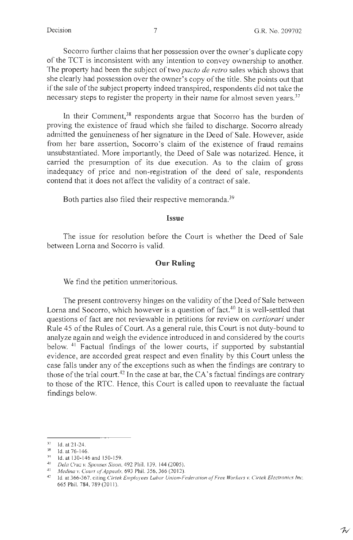Socorro further claims that her possession over the owner's duplicate copy of the TCT is inconsistent with any intention to convey ownership to another. The property had been the subject of two *pacto de retro* sales which shows that she clearly had possession over the owner's copy of the title. She points out that if the sale of the subject property indeed transpired, respondents did not take the necessary steps to register the property in their name for almost seven years.<sup>37</sup>

In their Comment,  $38$  respondents argue that Socorro has the burden of proving the existence of fraud which she failed to discharge. Socorro already admitted the genuineness of her signature in the Deed of Sale. However, aside from her bare assertion, Socorro's claim of the existence of fraud remains unsubstantiated. More importantly, the Deed of Sale was notarized. Hence, it carried the presumption of its due execution. As to the claim of gross inadequacy of price and non-registration of the deed of sale, respondents contend that it does not affect the validity of a contract of sale.

Both parties also filed their respective memoranda.<sup>39</sup>

#### **Issue**

The issue for resolution before the Court is whether the Deed of Sale between Lorna and Socorro is valid.

### **Our Ruling**

We find the petition unmeritorious.

The present controversy hinges on the validity of the Deed of Sale between Lorna and Socorro, which however is a question of fact.<sup>40</sup> It is well-settled that questions of fact are not reviewable in petitions for review on *certiorari* under Rule 45 of the Rules of Court. As a general rule, this Court is not duty-bound to analyze again and weigh the evidence introduced in and considered by the courts below.  $41$  Factual findings of the lower courts, if supported by substantial evidence, are accorded great respect and even finality by this Court unless the case falls under any of the exceptions such as when the findings are contrary to those of the trial court.<sup>42</sup> In the case at bar, the CA's factual findings are contrary to those of the RTC. Hence, this Court is called upon to reevaluate the factual findings below.

<sup>37</sup> Id. at 2 1-24. 38 Id. at 76- 146. 39 Id. at 130- 146 and 150-159. 40 *Dela Cruz v. Spouses Sison,* 492 Phil. 139, 144 (2005).

<sup>&</sup>lt;sup>42</sup> Id. at 366-367, citing *Cirtek Employees Labor Union-Federation of Free Workers v. Cirtek Electronics Inc,* 665 Phil. 784, 789 (2011).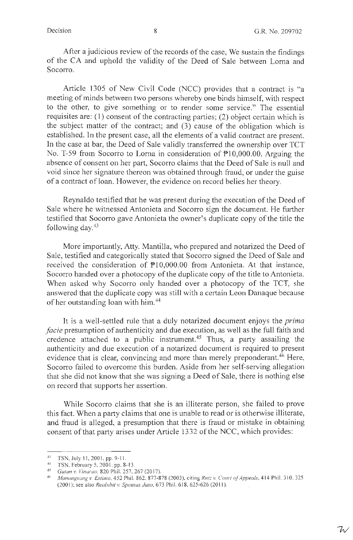After a judicious review of the records of the case, We sustain the findings of the CA and uphold the validity of the Deed of Sale between Loma and Socorro.

Article 1305 of New Civil Code (NCC) provides that a contract is "a meeting of minds between two persons whereby one binds himself, with respect to the other, to give something or to render some service." The essential requisites are: (1) consent of the contracting parties; (2) object certain which is the subject matter of the contract; and (3) cause of the obligation which is established. In the present case, all the elements of a valid contract are present. In the case at bar, the Deed of Sale validly transferred the ownership over TCT No. T-59 from Socorro to Lorna in consideration of  $P10,000.00$ . Arguing the absence of consent on her part, Socorro claims that the Deed of Sale is null and void since her signature thereon was obtained through fraud, or under the guise of a contract of loan. However, the evidence on record belies her theory.

Reynaldo testified that he was present during the execution of the Deed of Sale where he witnessed Antonieta and Socorro sign the document. He further testified that Socorro gave Antonieta the owner's duplicate copy of the title the following day. $43$ 

More importantly, Atty. Mantilla, who prepared and notarized the Deed of Sale, testified and categorically stated that Socorro signed the Deed of Sale and received the consideration of Pl0,000.00 from Antonieta. At that instance, Socorro handed over a photocopy of the duplicate copy of the title to Antonieta. When asked why Socorro only handed over a photocopy of the TCT, she answered that the duplicate copy was still with a certain Leon Danaque because of her outstanding loan with him.<sup>44</sup>

It is a well-settled rule that a duly notarized document enjoys the *prima facie* presumption of authenticity and due execution, as well as the full faith and credence attached to a public instrument.<sup>45</sup> Thus, a party assailing the authenticity and due execution of a notarized document is required to present evidence that is clear, convincing and more than merely preponderant.<sup>46</sup> Here, Socorro failed to overcome this burden. Aside from her self-serving allegation that she did not know that she was signing a Deed of Sale, there is nothing else on record that supports her assertion.

While Socorro claims that she is an illiterate person, she failed to prove this fact. When a party claims that one is unable to read or is otherwise illiterate, and fraud is alleged, a presumption that there is fraud or mistake in obtaining consent of that party arises under Article 1332 of the NCC, which provides:

<sup>43</sup> TSN, July 11, 2001, pp. 9-11.

 $^{44}$  TSN, February 5, 2001, pp. 8-13.

Gatan v. Vinarao, 820 Phil. 257, 267 (2017).

<sup>46</sup> Manongsong v. Estimo, 452 Phil. 862, 877-878 (2003), citing *Ruiz v. Court of Appeals*, 414 Phil. 310, 325 (2001); see also *Realubit v. Spouses Jaso*, 673 Phil. 618, 625-626 (2011).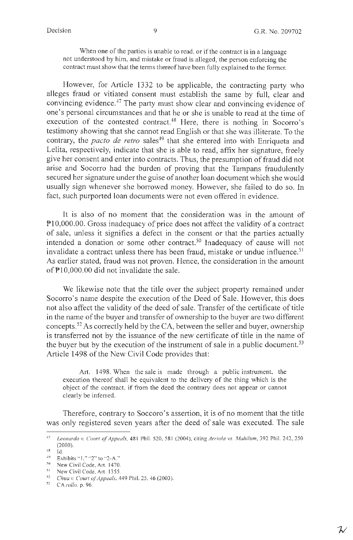When one of the parties is unable to read, or if the contract is in a language not understood by him, and mistake or fraud is alleged, the person enforcing the contract must show that the terms thereof have been fully explained to the former.

However, for Article 1332 to be applicable, the contracting party who alleges fraud or vitiated consent must establish the same by full, clear and convincing evidence.<sup>47</sup> The party must show clear and convincing evidence of one's personal circumstances and that he or she is unable to read at the time of execution of the contested contract.<sup>48</sup> Here, there is nothing in Socorro's testimony showing that she cannot read English or that she was illiterate. To the contrary, the *pacto de retro* sales<sup>49</sup> that she entered into with Enriqueta and Lelita, respectively, indicate that she is able to read, affix her signature, freely give her consent and enter into contracts. Thus, the presumption of fraud did not arise and Socorro had the burden of proving that the Tampans fraudulently secured her signature under the guise of another loan document which she would usually sign whenever she borrowed money. However, she failed to do so. In fact, such purported loan documents were not even offered in evidence.

It is also of no moment that the consideration was in the amount of P10,000.00. Gross inadequacy of price does not affect the validity of a contract of sale, unless it signifies a defect in the consent or that the parties actually intended a donation or some other contract.<sup>50</sup> Inadequacy of cause will not invalidate a contract unless there has been fraud, mistake or undue influence.<sup>51</sup> As earlier stated, fraud was not proven. Hence, the consideration in the amount of Pl0,000.00 did not invalidate the sale.

We likewise note that the title over the subject property remained under Socorro's name despite the execution of the Deed of Sale. However, this does not also affect the validity of the deed of sale. Transfer of the certificate of title in the name of the buyer and transfer of ownership to the buyer are two different concepts.<sup>52</sup> As correctly held by the CA, between the seller and buyer, ownership is transferred not by the issuance of the new certificate of title in the name of the buyer but by the execution of the instrument of sale in a public document.<sup>53</sup> Article 1498 of the New Civil Code provides that:

Art. 1498. When the sale is made through a public instrument, the execution thereof shall be equivalent to the delivery of the thing which is the object of the contract, if from the deed the contrary does not appear or cannot clearly be inferred.

Therefore, contrary to Soccoro's assertion, it is of no moment that the title was only registered seven years after the deed of sale was executed. The sale

<sup>&</sup>lt;sup>47</sup> Leonardo v. Court of Appeals, 481 Phil. 520, 581 (2004), citing *Arriola vs. Mahilum,* 392 Phil. 242, 250 (2000).

 $^{48}$  Id.<br> $^{49}$  Exhibits "1," "2" to "2-A."

 $50$  New Civil Code, Art. 1470.

<sup>51</sup> New Civil Code, Art. 1355.<br><sup>52</sup> *Chua v. Court of Appeals*, 449 Phil. 25, 46 (2003).<br><sup>53</sup> *CA valle, p.* 96

<sup>53</sup>CA *rollo.* p. 96.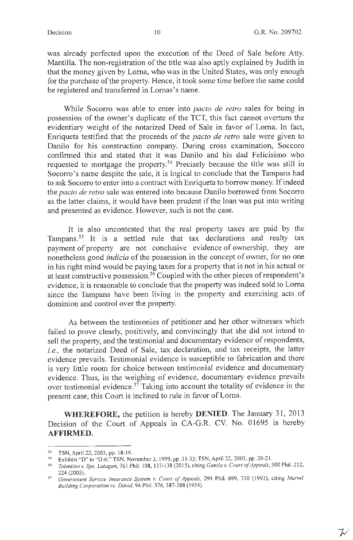ブ

was already perfected upon the execution of the Deed of Sale before Atty. Mantilla. The non-registration of the title was also aptly explained by Judith in that the money given by Loma, who was in the United States, was only enough for the purchase of the property. Hence, it took some time before the same could be registered and transferred in Lornas's name.

While Socorro was able to enter into *pacto de retro* sales for being in possession of the owner's duplicate of the TCT, this fact cannot overturn the evidentiary weight of the notarized Deed of Sale in favor of Loma. In fact, Enriqueta testified that the proceeds of the *pacto de retro* sale were given to Danilo for his construction company. During cross examination, Soccoro confinned this and stated that it was Danilo and his dad Felicisimo who requested to mortgage the property.<sup>54</sup> Precisely because the title was still in Socorro's name despite the sale, it is logical to conclude that the Tampans had to ask Socorro to enter into a contract with Enriqueta to borrow money. If indeed the *pacto de retro* sale was entered into because Danilo borrowed from Socorro as the latter claims, it would have been prudent if the loan was put into writing and presented as evidence. However, such is not the case.

It is also uncontested that the real property taxes are paid by the Tampans.<sup>55</sup> It is a settled rule that tax declarations and realty tax payment of property are not conclusive evidence of ownership, they are nonetheless good *indicia* of the possession in the concept of owner, for no one in his right mind would be paying taxes for a property that is not in his actual or at least constructive possession. 56 Coupled with the other pieces of respondent's evidence, it is reasonable to conclude that the property was indeed sold to Loma since the Tampans have been living in the property and exercising acts of dominion and control over the property.

As between the testimonies of petitioner and her other witnesses which failed to prove clearly, positively, and convincingly that she did not intend to sell the property, and the testimonial and documentary evidence of respondents, *i.e.,* the notarized Deed of Sale, tax declaration, and tax receipts, the latter evidence prevails. Testimonial evidence is susceptible to fabrication and there is very little room for choice between testimonial evidence and documentary evidence. Thus, in the weighing of evidence, documentary evidence prevails over testimonial evidence.<sup>57</sup> Taking into account the totality of evidence in the present case, this Court is inclined to rule in favor of Loma.

**WHEREFORE,** the petition is hereby **DENIED.** The January 31, 2013 Decision of the Court of Appeals in CA-G.R. CV. No. 01695 is hereby **AFFIRMED.** 

<sup>54</sup> TSN, April 22, 2003, pp. 18-19.<br>55 Exhibits "D" to "D-6;" TSN, November 3, 1999, pp. 31-33; TSN, April 22, 2003, pp. 20-21.

<sup>&</sup>lt;sup>56</sup> Tolentino v. Sps. Latagan, 761 Phil. 108, 137-138 (2015), citing Ganila v. Court of Appeals, 500 Phil. 212,

<sup>224 (2005). 57</sup> *Government Service Insurance System* v. *Court of Appeals,* 294 Phil. 699, 710 (1993), citing *Marvel Building Corporation vs. David,* 94 Phil. 376, 387-388 ( 1954).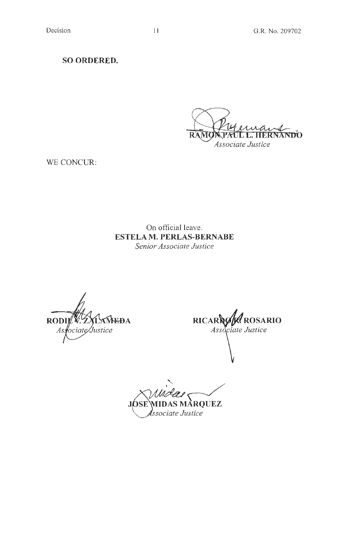**SO ORDERED.** 

 $\bigotimes_{\text{ASocciate Justice}}\underbrace{\bigotimes_{\text{Associate Justice}}\underbrace{\bigotimes_{\text{Associate Justice}}\bigotimes_{\text{Associate}}\bigotimes_{\text{Associate}}\bigotimes_{\text{Associate}}\bigotimes_{\text{Associate}}\bigotimes_{\text{Associate}}\bigotimes_{\text{Associate}}\bigotimes_{\text{Associate}}\bigotimes_{\text{Associate}}\bigotimes_{\text{Associate}}\bigotimes_{\text{Associate}}\bigotimes_{\text{Associate}}\bigotimes_{\text{Associate}}\bigotimes_{\text{Associate}}\bigotimes_{\text$ 

WE CONCUR:

On official leave. **ESTELA M. PERLAS-BERNABE**  *Senior Associate Justice* 

**RODII EDA** ociate/Justice As

RICARAG ROSARIO Associate Justice

 $J$ (*SSE*) MIDAS MARQUEZ